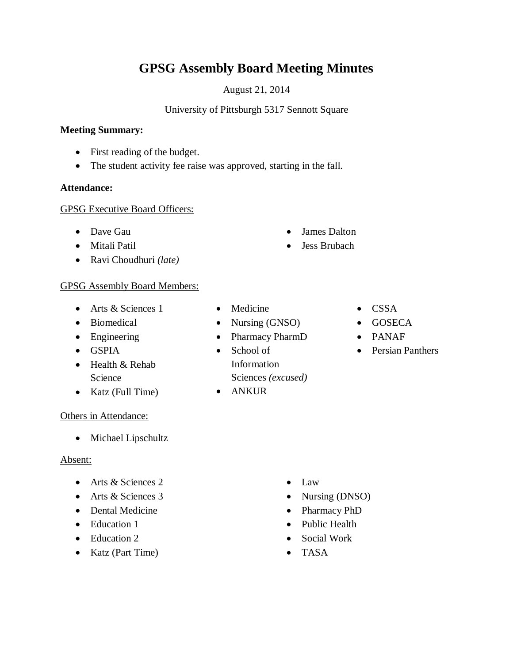# **GPSG Assembly Board Meeting Minutes**

August 21, 2014

University of Pittsburgh 5317 Sennott Square

## **Meeting Summary:**

- First reading of the budget.
- The student activity fee raise was approved, starting in the fall.

## **Attendance:**

#### GPSG Executive Board Officers:

- Dave Gau
- Mitali Patil
- Ravi Choudhuri *(late)*

## GPSG Assembly Board Members:

- Arts & Sciences 1
- Biomedical
- Engineering
- GSPIA
- Health & Rehab Science
- Katz (Full Time)

## Others in Attendance:

• Michael Lipschultz

## Absent:

- Arts & Sciences 2
- Arts & Sciences 3
- Dental Medicine
- Education 1
- Education 2
- Katz (Part Time)
- Medicine
- Nursing (GNSO)
- Pharmacy PharmD
- School of Information Sciences *(excused)*
- ANKUR

 James Dalton Jess Brubach

- CSSA
- GOSECA
- PANAF
- Persian Panthers

- $\bullet$  Law
- Nursing (DNSO)
- Pharmacy PhD
- Public Health
- Social Work
- TASA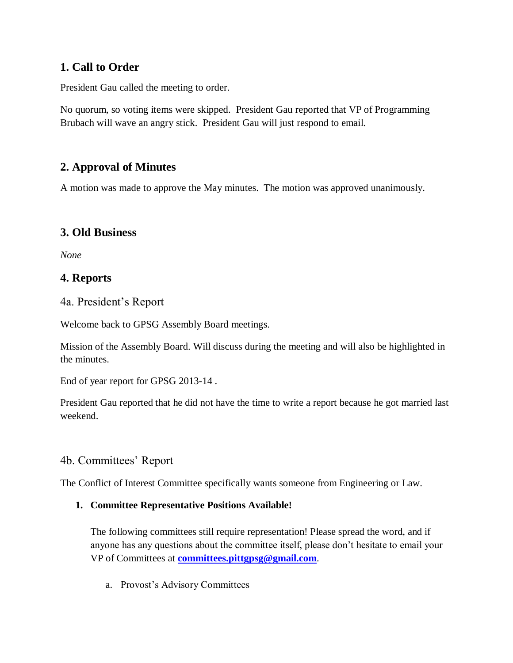# **1. Call to Order**

President Gau called the meeting to order.

No quorum, so voting items were skipped. President Gau reported that VP of Programming Brubach will wave an angry stick. President Gau will just respond to email.

# **2. Approval of Minutes**

A motion was made to approve the May minutes. The motion was approved unanimously.

# **3. Old Business**

*None*

# **4. Reports**

4a. President's Report

Welcome back to GPSG Assembly Board meetings.

Mission of the Assembly Board. Will discuss during the meeting and will also be highlighted in the minutes.

End of year report for GPSG 2013-14 .

President Gau reported that he did not have the time to write a report because he got married last weekend.

# 4b. Committees' Report

The Conflict of Interest Committee specifically wants someone from Engineering or Law.

## **1. Committee Representative Positions Available!**

The following committees still require representation! Please spread the word, and if anyone has any questions about the committee itself, please don't hesitate to email your VP of Committees at **[committees.pittgpsg@gmail.com](mailto:committees.pittgpsg@gmail.com)**.

a. Provost's Advisory Committees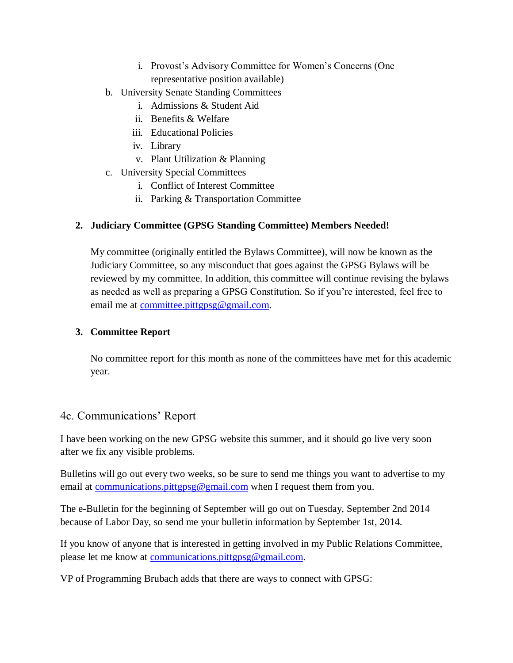- i. Provost's Advisory Committee for Women's Concerns (One representative position available)
- b. University Senate Standing Committees
	- i. Admissions & Student Aid
	- ii. Benefits & Welfare
	- iii. Educational Policies
	- iv. Library
	- v. Plant Utilization & Planning
- c. University Special Committees
	- i. Conflict of Interest Committee
	- ii. Parking & Transportation Committee

## **2. Judiciary Committee (GPSG Standing Committee) Members Needed!**

My committee (originally entitled the Bylaws Committee), will now be known as the Judiciary Committee, so any misconduct that goes against the GPSG Bylaws will be reviewed by my committee. In addition, this committee will continue revising the bylaws as needed as well as preparing a GPSG Constitution. So if you're interested, feel free to email me at [committee.pittgpsg@gmail.com.](mailto:committee.pittgpsg@gmail.com)

## **3. Committee Report**

No committee report for this month as none of the committees have met for this academic year.

# 4c. Communications' Report

I have been working on the new GPSG website this summer, and it should go live very soon after we fix any visible problems.

Bulletins will go out every two weeks, so be sure to send me things you want to advertise to my email at <u>communications.pittgpsg@gmail.com</u> when I request them from you.

The e-Bulletin for the beginning of September will go out on Tuesday, September 2nd 2014 because of Labor Day, so send me your bulletin information by September 1st, 2014.

If you know of anyone that is interested in getting involved in my Public Relations Committee, please let me know at [communications.pittgpsg@gmail.com.](mailto:communications.pittgpsg@gmail.com)

VP of Programming Brubach adds that there are ways to connect with GPSG: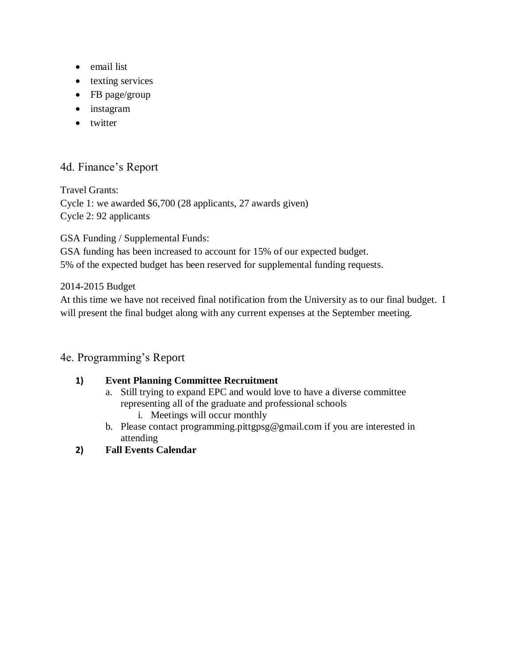- email list
- texting services
- FB page/group
- instagram
- twitter

# 4d. Finance's Report

Travel Grants: Cycle 1: we awarded \$6,700 (28 applicants, 27 awards given) Cycle 2: 92 applicants

GSA Funding / Supplemental Funds:

GSA funding has been increased to account for 15% of our expected budget. 5% of the expected budget has been reserved for supplemental funding requests.

## 2014-2015 Budget

At this time we have not received final notification from the University as to our final budget. I will present the final budget along with any current expenses at the September meeting.

# 4e. Programming's Report

## **1) Event Planning Committee Recruitment**

- a. Still trying to expand EPC and would love to have a diverse committee representing all of the graduate and professional schools i. Meetings will occur monthly
- b. Please contact programming.pittgpsg@gmail.com if you are interested in attending
- **2) Fall Events Calendar**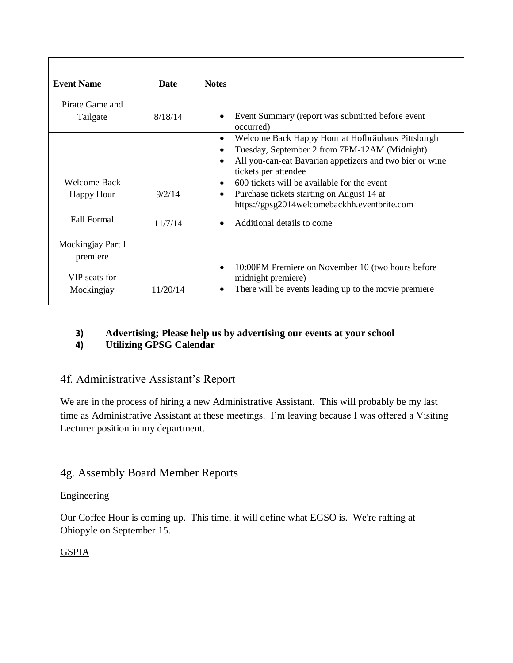| <b>Event Name</b>                                            | Date     | <b>Notes</b>                                                                                                                                                                                                                                                                                                                                                                           |
|--------------------------------------------------------------|----------|----------------------------------------------------------------------------------------------------------------------------------------------------------------------------------------------------------------------------------------------------------------------------------------------------------------------------------------------------------------------------------------|
| Pirate Game and                                              |          |                                                                                                                                                                                                                                                                                                                                                                                        |
| Tailgate                                                     | 8/18/14  | Event Summary (report was submitted before event<br>occurred)                                                                                                                                                                                                                                                                                                                          |
| Welcome Back<br>Happy Hour                                   | 9/2/14   | Welcome Back Happy Hour at Hofbräuhaus Pittsburgh<br>$\bullet$<br>Tuesday, September 2 from 7PM-12AM (Midnight)<br>All you-can-eat Bavarian appetizers and two bier or wine<br>$\bullet$<br>tickets per attendee<br>600 tickets will be available for the event<br>$\bullet$<br>Purchase tickets starting on August 14 at<br>$\bullet$<br>https://gpsg2014welcomebackhh.eventbrite.com |
| <b>Fall Formal</b>                                           | 11/7/14  | Additional details to come                                                                                                                                                                                                                                                                                                                                                             |
| Mockingjay Part I<br>premiere<br>VIP seats for<br>Mockingjay | 11/20/14 | 10:00PM Premiere on November 10 (two hours before<br>$\bullet$<br>midnight premiere)<br>There will be events leading up to the movie premiere                                                                                                                                                                                                                                          |

# **3) Advertising; Please help us by advertising our events at your school**

# **4) Utilizing GPSG Calendar**

# 4f. Administrative Assistant's Report

We are in the process of hiring a new Administrative Assistant. This will probably be my last time as Administrative Assistant at these meetings. I'm leaving because I was offered a Visiting Lecturer position in my department.

# 4g. Assembly Board Member Reports

## **Engineering**

Our Coffee Hour is coming up. This time, it will define what EGSO is. We're rafting at Ohiopyle on September 15.

## **GSPIA**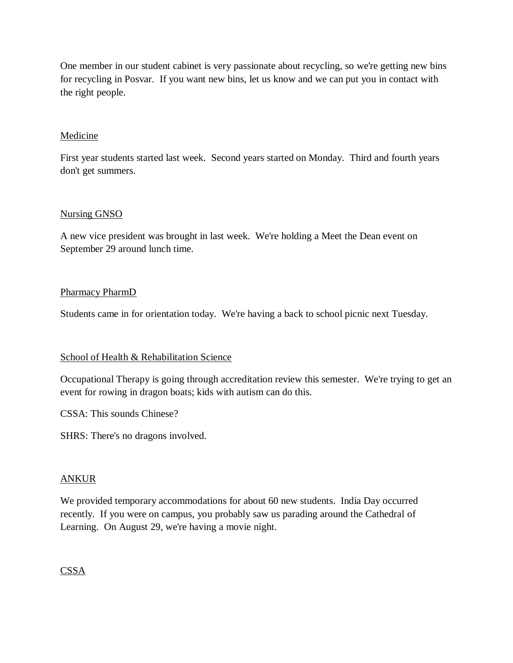One member in our student cabinet is very passionate about recycling, so we're getting new bins for recycling in Posvar. If you want new bins, let us know and we can put you in contact with the right people.

#### Medicine

First year students started last week. Second years started on Monday. Third and fourth years don't get summers.

#### Nursing GNSO

A new vice president was brought in last week. We're holding a Meet the Dean event on September 29 around lunch time.

#### Pharmacy PharmD

Students came in for orientation today. We're having a back to school picnic next Tuesday.

#### School of Health & Rehabilitation Science

Occupational Therapy is going through accreditation review this semester. We're trying to get an event for rowing in dragon boats; kids with autism can do this.

CSSA: This sounds Chinese?

SHRS: There's no dragons involved.

#### ANKUR

We provided temporary accommodations for about 60 new students. India Day occurred recently. If you were on campus, you probably saw us parading around the Cathedral of Learning. On August 29, we're having a movie night.

## CSSA